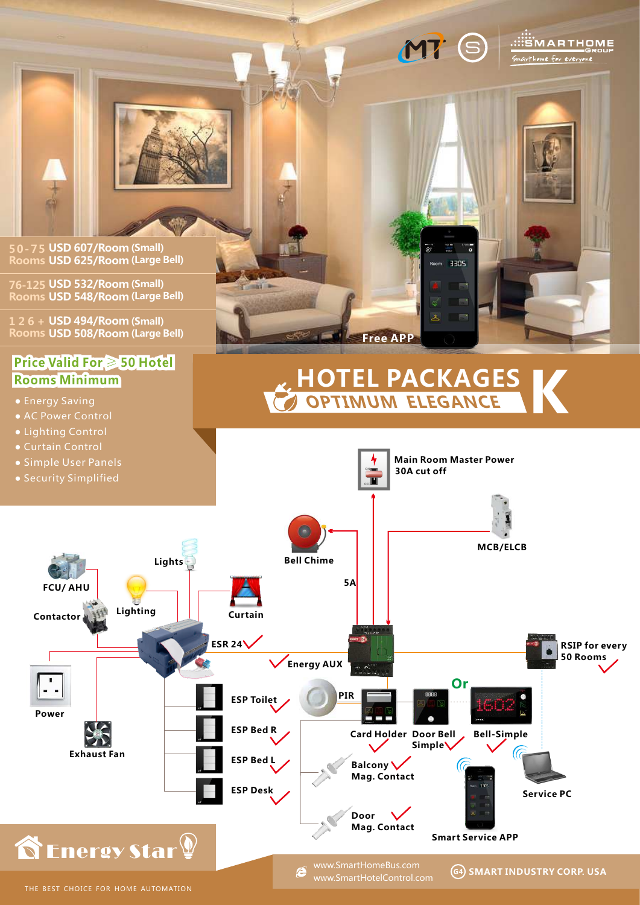# MT S SEMARTHOME

3305

home for everyor



**50-75 USD 607/Room (Small) Rooms USD 625/Room (Large Bell)**

**76-125 USD 532/Room (Small) Rooms USD 548/Room (Large Bell)**

**1 2 6 + USD 494/Room (Small) Rooms USD 508/Room (Large Bell)**

## **Price Valid For** ≥ **50 Hotel Rooms Minimum**

- Energy Saving
- 
- Lighting Control
- 
- Simple User Panels
- Security Simplified



## **OPTIMUM ELEGANCE HOTEL PACKAGES K**